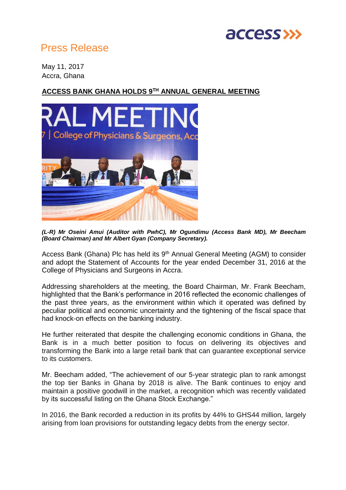

## Press Release

May 11, 2017 Accra, Ghana

## **ACCESS BANK GHANA HOLDS 9TH ANNUAL GENERAL MEETING**



*(L-R) Mr Oseini Amui (Auditor with PwhC), Mr Ogundimu (Access Bank MD), Mr Beecham (Board Chairman) and Mr Albert Gyan (Company Secretary).*

Access Bank (Ghana) Plc has held its 9th Annual General Meeting (AGM) to consider and adopt the Statement of Accounts for the year ended December 31, 2016 at the College of Physicians and Surgeons in Accra.

Addressing shareholders at the meeting, the Board Chairman, Mr. Frank Beecham, highlighted that the Bank's performance in 2016 reflected the economic challenges of the past three years, as the environment within which it operated was defined by peculiar political and economic uncertainty and the tightening of the fiscal space that had knock-on effects on the banking industry.

He further reiterated that despite the challenging economic conditions in Ghana, the Bank is in a much better position to focus on delivering its objectives and transforming the Bank into a large retail bank that can guarantee exceptional service to its customers.

Mr. Beecham added, "The achievement of our 5-year strategic plan to rank amongst the top tier Banks in Ghana by 2018 is alive. The Bank continues to enjoy and maintain a positive goodwill in the market, a recognition which was recently validated by its successful listing on the Ghana Stock Exchange."

In 2016, the Bank recorded a reduction in its profits by 44% to GHS44 million, largely arising from loan provisions for outstanding legacy debts from the energy sector.